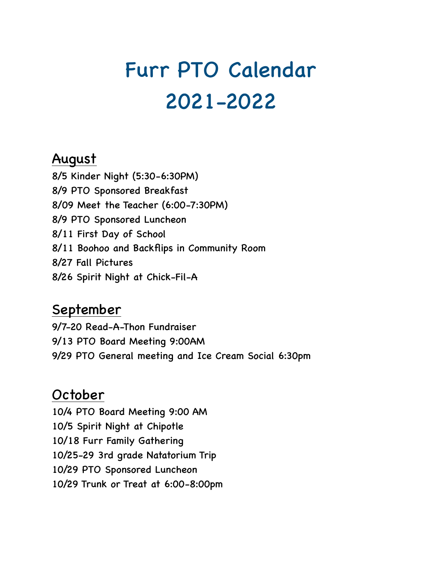# Furr PTO Calendar 2021-2022

## August

8/5 Kinder Night (5:30-6:30PM) 8/9 PTO Sponsored Breakfast 8/09 Meet the Teacher (6:00-7:30PM) 8/9 PTO Sponsored Luncheon 8/11 First Day of School 8/11 Boohoo and Backflips in Community Room 8/27 Fall Pictures 8/26 Spirit Night at Chick-Fil-A

# **September**

9/7-20 Read-A-Thon Fundraiser 9/13 PTO Board Meeting 9:00AM 9/29 PTO General meeting and Ice Cream Social 6:30pm

# October

10/4 PTO Board Meeting 9:00 AM 10/5 Spirit Night at Chipotle 10/18 Furr Family Gathering 10/25-29 3rd grade Natatorium Trip 10/29 PTO Sponsored Luncheon 10/29 Trunk or Treat at 6:00-8:00pm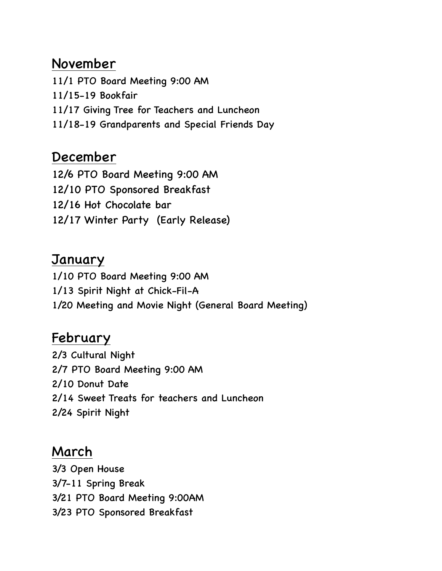### November

11/1 PTO Board Meeting 9:00 AM 11/15-19 Bookfair 11/17 Giving Tree for Teachers and Luncheon 11/18-19 Grandparents and Special Friends Day

#### December

12/6 PTO Board Meeting 9:00 AM 12/10 PTO Sponsored Breakfast 12/16 Hot Chocolate bar 12/17 Winter Party (Early Release)

## **January**

1/10 PTO Board Meeting 9:00 AM 1/13 Spirit Night at Chick-Fil-A 1/20 Meeting and Movie Night (General Board Meeting)

# **February**

2/3 Cultural Night 2/7 PTO Board Meeting 9:00 AM 2/10 Donut Date 2/14 Sweet Treats for teachers and Luncheon 2/24 Spirit Night

## March

3/3 Open House 3/7-11 Spring Break 3/21 PTO Board Meeting 9:00AM 3/23 PTO Sponsored Breakfast